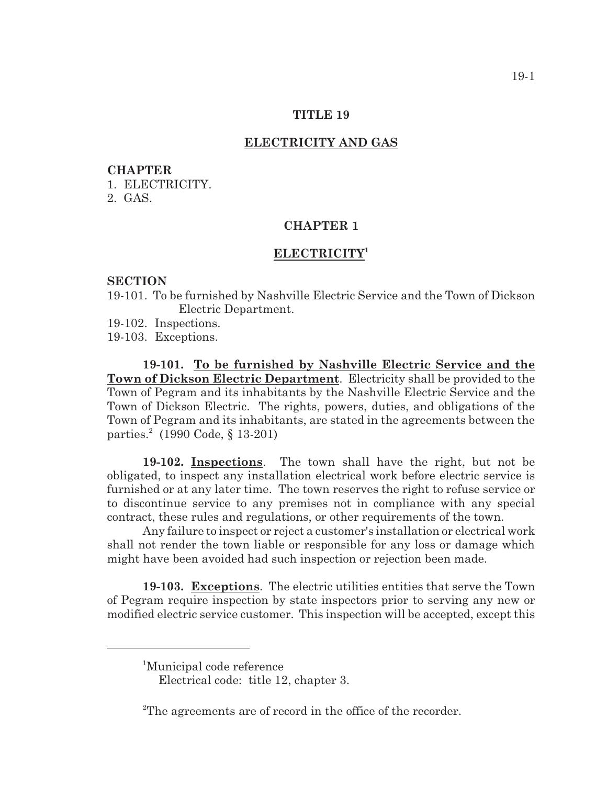### **TITLE 19**

### **ELECTRICITY AND GAS**

#### **CHAPTER**

1. ELECTRICITY.

2. GAS.

## **CHAPTER 1**

# **ELECTRICITY<sup>1</sup>**

### **SECTION**

- 19-101. To be furnished by Nashville Electric Service and the Town of Dickson Electric Department.
- 19-102. Inspections.

19-103. Exceptions.

**19-101. To be furnished by Nashville Electric Service and the Town of Dickson Electric Department**. Electricity shall be provided to the Town of Pegram and its inhabitants by the Nashville Electric Service and the Town of Dickson Electric. The rights, powers, duties, and obligations of the Town of Pegram and its inhabitants, are stated in the agreements between the parties.<sup>2</sup> (1990 Code,  $§ 13-201$ )

**19-102. Inspections**. The town shall have the right, but not be obligated, to inspect any installation electrical work before electric service is furnished or at any later time. The town reserves the right to refuse service or to discontinue service to any premises not in compliance with any special contract, these rules and regulations, or other requirements of the town.

Any failure to inspect or reject a customer's installation or electrical work shall not render the town liable or responsible for any loss or damage which might have been avoided had such inspection or rejection been made.

**19-103. Exceptions**. The electric utilities entities that serve the Town of Pegram require inspection by state inspectors prior to serving any new or modified electric service customer. This inspection will be accepted, except this

<sup>&</sup>lt;sup>1</sup>Municipal code reference

Electrical code: title 12, chapter 3.

<sup>&</sup>lt;sup>2</sup>The agreements are of record in the office of the recorder.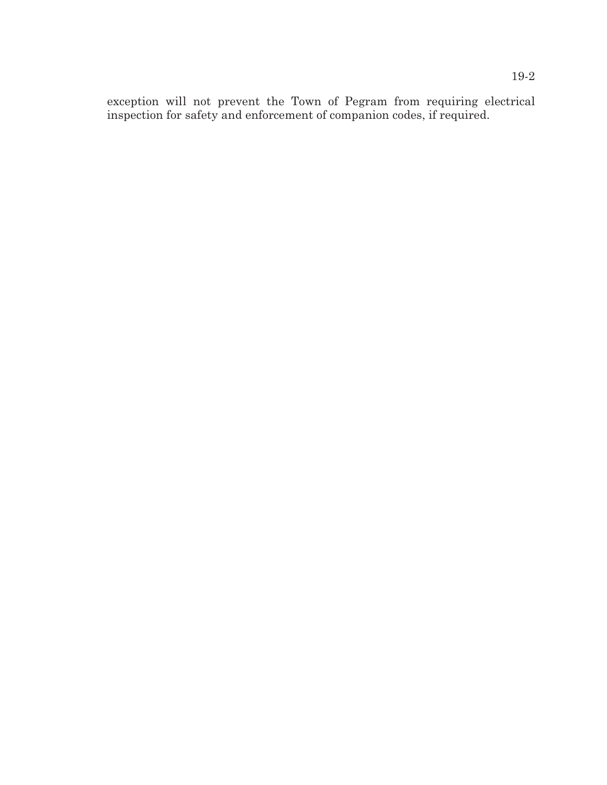exception will not prevent the Town of Pegram from requiring electrical inspection for safety and enforcement of companion codes, if required.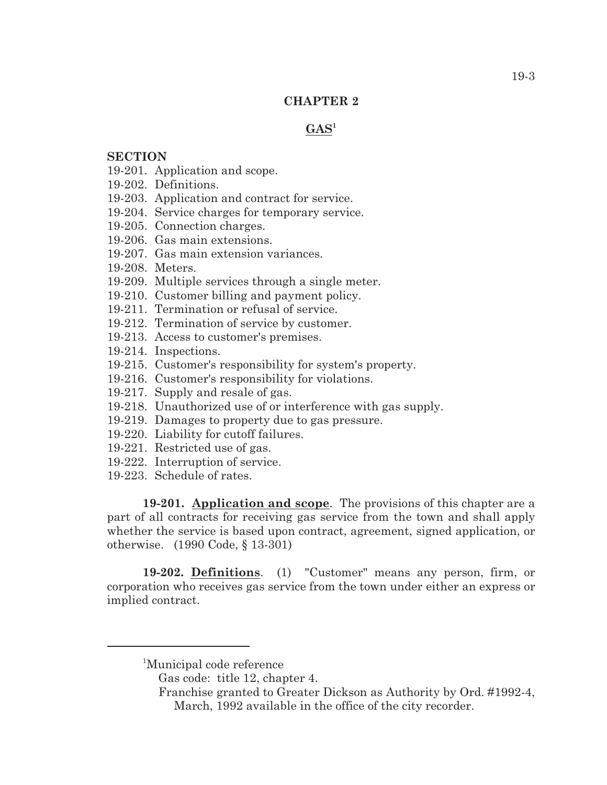### **CHAPTER 2**

# $GAS<sup>1</sup>$

### **SECTION**

- 19-201. Application and scope.
- 19-202. Definitions.
- 19-203. Application and contract for service.
- 19-204. Service charges for temporary service.
- 19-205. Connection charges.
- 19-206. Gas main extensions.
- 19-207. Gas main extension variances.
- 19-208. Meters.
- 19-209. Multiple services through a single meter.
- 19-210. Customer billing and payment policy.
- 19-211. Termination or refusal of service.
- 19-212. Termination of service by customer.
- 19-213. Access to customer's premises.
- 19-214. Inspections.
- 19-215. Customer's responsibility for system's property.
- 19-216. Customer's responsibility for violations.
- 19-217. Supply and resale of gas.
- 19-218. Unauthorized use of or interference with gas supply.
- 19-219. Damages to property due to gas pressure.
- 19-220. Liability for cutoff failures.
- 19-221. Restricted use of gas.
- 19-222. Interruption of service.
- 19-223. Schedule of rates.

**19-201. Application and scope**. The provisions of this chapter are a part of all contracts for receiving gas service from the town and shall apply whether the service is based upon contract, agreement, signed application, or otherwise. (1990 Code, § 13-301)

**19-202. Definitions**. (1) "Customer" means any person, firm, or corporation who receives gas service from the town under either an express or implied contract.

<sup>&</sup>lt;sup>1</sup>Municipal code reference

Gas code: title 12, chapter 4.

Franchise granted to Greater Dickson as Authority by Ord. #1992-4, March, 1992 available in the office of the city recorder.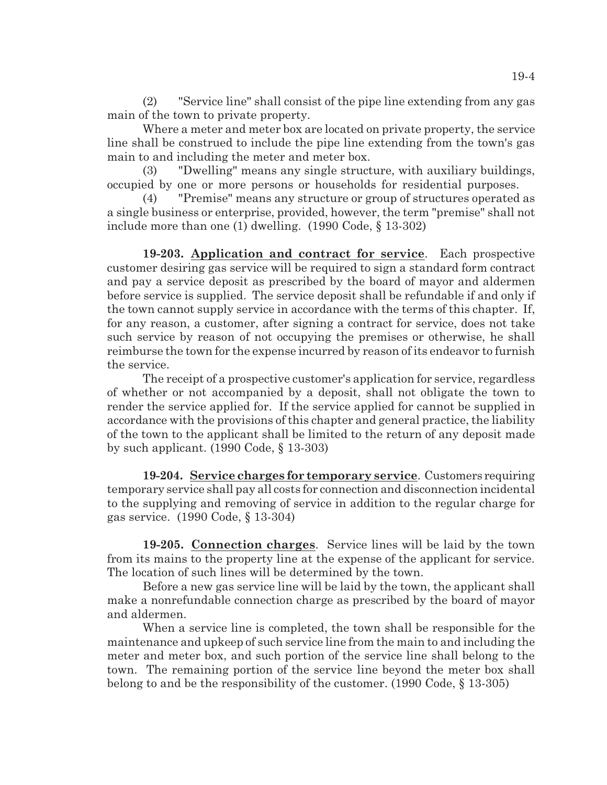(2) "Service line" shall consist of the pipe line extending from any gas main of the town to private property.

Where a meter and meter box are located on private property, the service line shall be construed to include the pipe line extending from the town's gas main to and including the meter and meter box.

(3) "Dwelling" means any single structure, with auxiliary buildings, occupied by one or more persons or households for residential purposes.

(4) "Premise" means any structure or group of structures operated as a single business or enterprise, provided, however, the term "premise" shall not include more than one (1) dwelling. (1990 Code, § 13-302)

**19-203. Application and contract for service**. Each prospective customer desiring gas service will be required to sign a standard form contract and pay a service deposit as prescribed by the board of mayor and aldermen before service is supplied. The service deposit shall be refundable if and only if the town cannot supply service in accordance with the terms of this chapter. If, for any reason, a customer, after signing a contract for service, does not take such service by reason of not occupying the premises or otherwise, he shall reimburse the town for the expense incurred by reason of its endeavor to furnish the service.

The receipt of a prospective customer's application for service, regardless of whether or not accompanied by a deposit, shall not obligate the town to render the service applied for. If the service applied for cannot be supplied in accordance with the provisions of this chapter and general practice, the liability of the town to the applicant shall be limited to the return of any deposit made by such applicant. (1990 Code, § 13-303)

**19-204. Service charges for temporary service**. Customers requiring temporary service shall pay all costs for connection and disconnection incidental to the supplying and removing of service in addition to the regular charge for gas service. (1990 Code, § 13-304)

**19-205. Connection charges**. Service lines will be laid by the town from its mains to the property line at the expense of the applicant for service. The location of such lines will be determined by the town.

Before a new gas service line will be laid by the town, the applicant shall make a nonrefundable connection charge as prescribed by the board of mayor and aldermen.

When a service line is completed, the town shall be responsible for the maintenance and upkeep of such service line from the main to and including the meter and meter box, and such portion of the service line shall belong to the town. The remaining portion of the service line beyond the meter box shall belong to and be the responsibility of the customer. (1990 Code, § 13-305)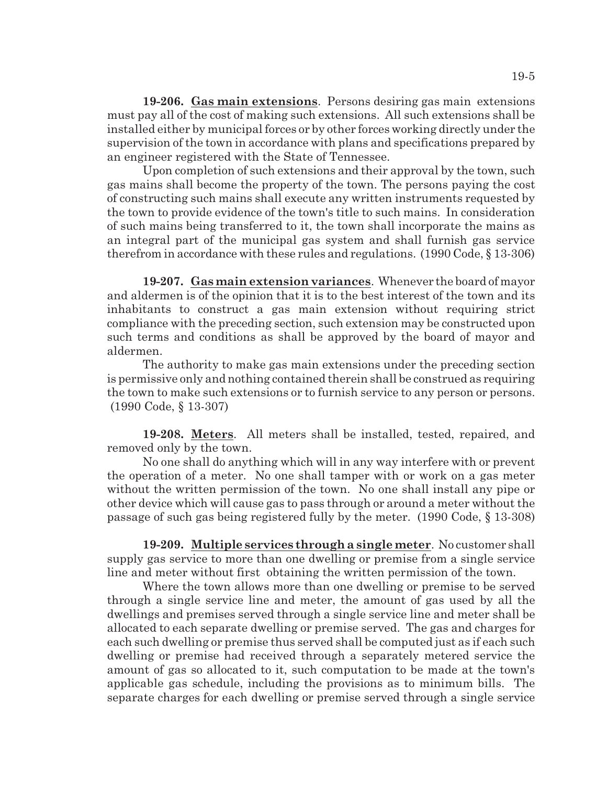**19-206. Gas main extensions**. Persons desiring gas main extensions must pay all of the cost of making such extensions. All such extensions shall be installed either by municipal forces or by other forces working directly under the supervision of the town in accordance with plans and specifications prepared by an engineer registered with the State of Tennessee.

Upon completion of such extensions and their approval by the town, such gas mains shall become the property of the town. The persons paying the cost of constructing such mains shall execute any written instruments requested by the town to provide evidence of the town's title to such mains. In consideration of such mains being transferred to it, the town shall incorporate the mains as an integral part of the municipal gas system and shall furnish gas service therefrom in accordance with these rules and regulations. (1990 Code, § 13-306)

**19-207. Gas main extension variances**. Whenever the board of mayor and aldermen is of the opinion that it is to the best interest of the town and its inhabitants to construct a gas main extension without requiring strict compliance with the preceding section, such extension may be constructed upon such terms and conditions as shall be approved by the board of mayor and aldermen.

The authority to make gas main extensions under the preceding section is permissive only and nothing contained therein shall be construed as requiring the town to make such extensions or to furnish service to any person or persons. (1990 Code, § 13-307)

**19-208. Meters**. All meters shall be installed, tested, repaired, and removed only by the town.

No one shall do anything which will in any way interfere with or prevent the operation of a meter. No one shall tamper with or work on a gas meter without the written permission of the town. No one shall install any pipe or other device which will cause gas to pass through or around a meter without the passage of such gas being registered fully by the meter. (1990 Code, § 13-308)

**19-209. Multiple services through a single meter**. No customer shall supply gas service to more than one dwelling or premise from a single service line and meter without first obtaining the written permission of the town.

Where the town allows more than one dwelling or premise to be served through a single service line and meter, the amount of gas used by all the dwellings and premises served through a single service line and meter shall be allocated to each separate dwelling or premise served. The gas and charges for each such dwelling or premise thus served shall be computed just as if each such dwelling or premise had received through a separately metered service the amount of gas so allocated to it, such computation to be made at the town's applicable gas schedule, including the provisions as to minimum bills. The separate charges for each dwelling or premise served through a single service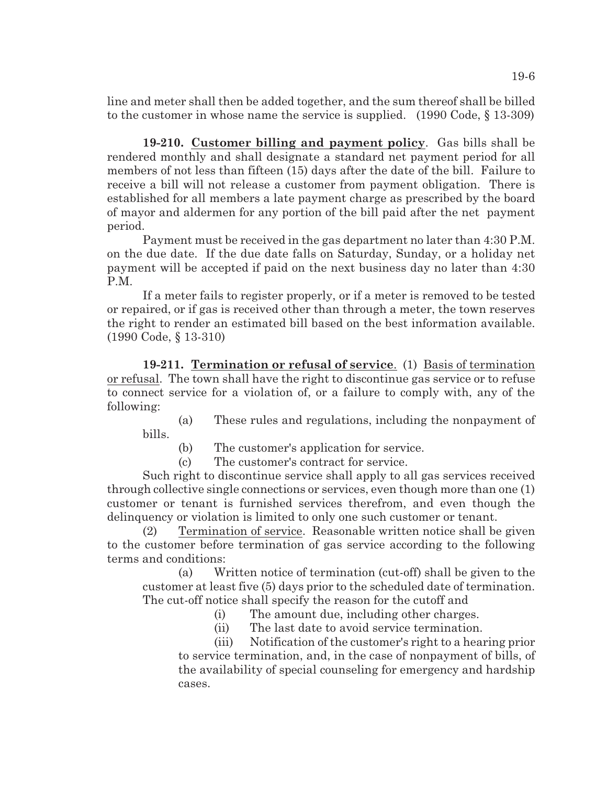line and meter shall then be added together, and the sum thereof shall be billed to the customer in whose name the service is supplied. (1990 Code, § 13-309)

**19-210. Customer billing and payment policy**. Gas bills shall be rendered monthly and shall designate a standard net payment period for all members of not less than fifteen (15) days after the date of the bill. Failure to receive a bill will not release a customer from payment obligation. There is established for all members a late payment charge as prescribed by the board of mayor and aldermen for any portion of the bill paid after the net payment period.

Payment must be received in the gas department no later than 4:30 P.M. on the due date. If the due date falls on Saturday, Sunday, or a holiday net payment will be accepted if paid on the next business day no later than 4:30 P.M.

If a meter fails to register properly, or if a meter is removed to be tested or repaired, or if gas is received other than through a meter, the town reserves the right to render an estimated bill based on the best information available. (1990 Code, § 13-310)

**19-211. Termination or refusal of service**. (1) Basis of termination or refusal. The town shall have the right to discontinue gas service or to refuse to connect service for a violation of, or a failure to comply with, any of the following:

(a) These rules and regulations, including the nonpayment of bills.

(b) The customer's application for service.

(c) The customer's contract for service.

Such right to discontinue service shall apply to all gas services received through collective single connections or services, even though more than one (1) customer or tenant is furnished services therefrom, and even though the delinquency or violation is limited to only one such customer or tenant.

(2) Termination of service. Reasonable written notice shall be given to the customer before termination of gas service according to the following terms and conditions:

(a) Written notice of termination (cut-off) shall be given to the customer at least five (5) days prior to the scheduled date of termination. The cut-off notice shall specify the reason for the cutoff and

- (i) The amount due, including other charges.
- (ii) The last date to avoid service termination.

(iii) Notification of the customer's right to a hearing prior to service termination, and, in the case of nonpayment of bills, of the availability of special counseling for emergency and hardship cases.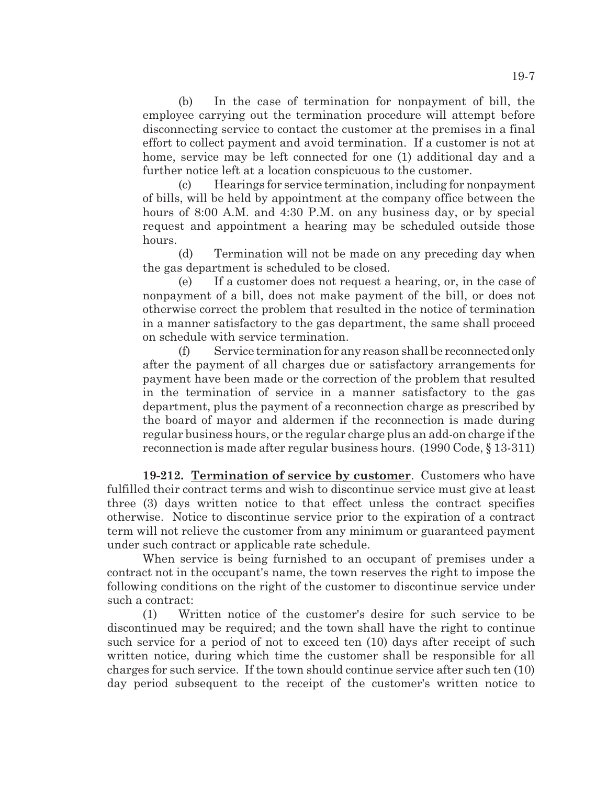(b) In the case of termination for nonpayment of bill, the employee carrying out the termination procedure will attempt before disconnecting service to contact the customer at the premises in a final effort to collect payment and avoid termination. If a customer is not at home, service may be left connected for one (1) additional day and a further notice left at a location conspicuous to the customer.

(c) Hearings for service termination, including for nonpayment of bills, will be held by appointment at the company office between the hours of 8:00 A.M. and 4:30 P.M. on any business day, or by special request and appointment a hearing may be scheduled outside those hours.

(d) Termination will not be made on any preceding day when the gas department is scheduled to be closed.

(e) If a customer does not request a hearing, or, in the case of nonpayment of a bill, does not make payment of the bill, or does not otherwise correct the problem that resulted in the notice of termination in a manner satisfactory to the gas department, the same shall proceed on schedule with service termination.

(f) Service termination for any reason shall be reconnected only after the payment of all charges due or satisfactory arrangements for payment have been made or the correction of the problem that resulted in the termination of service in a manner satisfactory to the gas department, plus the payment of a reconnection charge as prescribed by the board of mayor and aldermen if the reconnection is made during regular business hours, or the regular charge plus an add-on charge if the reconnection is made after regular business hours. (1990 Code, § 13-311)

**19-212. Termination of service by customer**. Customers who have fulfilled their contract terms and wish to discontinue service must give at least three (3) days written notice to that effect unless the contract specifies otherwise. Notice to discontinue service prior to the expiration of a contract term will not relieve the customer from any minimum or guaranteed payment under such contract or applicable rate schedule.

When service is being furnished to an occupant of premises under a contract not in the occupant's name, the town reserves the right to impose the following conditions on the right of the customer to discontinue service under such a contract:

(1) Written notice of the customer's desire for such service to be discontinued may be required; and the town shall have the right to continue such service for a period of not to exceed ten (10) days after receipt of such written notice, during which time the customer shall be responsible for all charges for such service. If the town should continue service after such ten (10) day period subsequent to the receipt of the customer's written notice to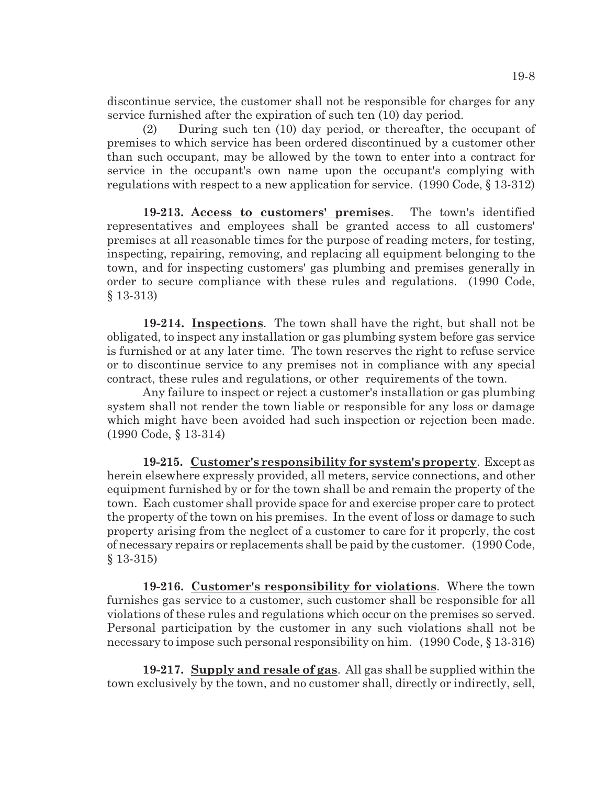discontinue service, the customer shall not be responsible for charges for any service furnished after the expiration of such ten (10) day period.

(2) During such ten (10) day period, or thereafter, the occupant of premises to which service has been ordered discontinued by a customer other than such occupant, may be allowed by the town to enter into a contract for service in the occupant's own name upon the occupant's complying with regulations with respect to a new application for service. (1990 Code, § 13-312)

**19-213. Access to customers' premises**. The town's identified representatives and employees shall be granted access to all customers' premises at all reasonable times for the purpose of reading meters, for testing, inspecting, repairing, removing, and replacing all equipment belonging to the town, and for inspecting customers' gas plumbing and premises generally in order to secure compliance with these rules and regulations. (1990 Code, § 13-313)

**19-214. Inspections**. The town shall have the right, but shall not be obligated, to inspect any installation or gas plumbing system before gas service is furnished or at any later time. The town reserves the right to refuse service or to discontinue service to any premises not in compliance with any special contract, these rules and regulations, or other requirements of the town.

Any failure to inspect or reject a customer's installation or gas plumbing system shall not render the town liable or responsible for any loss or damage which might have been avoided had such inspection or rejection been made. (1990 Code, § 13-314)

**19-215. Customer's responsibility for system's property**. Except as herein elsewhere expressly provided, all meters, service connections, and other equipment furnished by or for the town shall be and remain the property of the town. Each customer shall provide space for and exercise proper care to protect the property of the town on his premises. In the event of loss or damage to such property arising from the neglect of a customer to care for it properly, the cost of necessary repairs or replacements shall be paid by the customer. (1990 Code, § 13-315)

**19-216. Customer's responsibility for violations**. Where the town furnishes gas service to a customer, such customer shall be responsible for all violations of these rules and regulations which occur on the premises so served. Personal participation by the customer in any such violations shall not be necessary to impose such personal responsibility on him. (1990 Code, § 13-316)

**19-217. Supply and resale of gas**. All gas shall be supplied within the town exclusively by the town, and no customer shall, directly or indirectly, sell,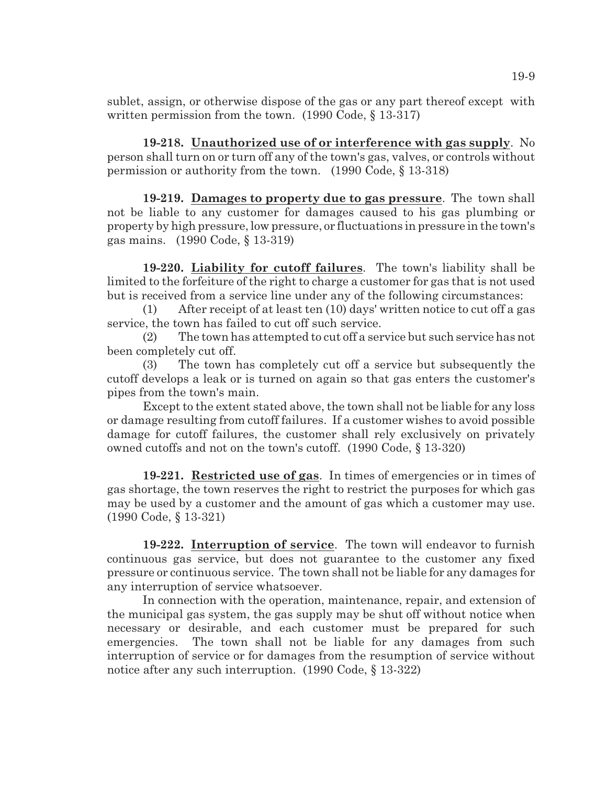sublet, assign, or otherwise dispose of the gas or any part thereof except with written permission from the town. (1990 Code, § 13-317)

**19-218. Unauthorized use of or interference with gas supply**. No person shall turn on or turn off any of the town's gas, valves, or controls without permission or authority from the town. (1990 Code, § 13-318)

**19-219. Damages to property due to gas pressure**. The town shall not be liable to any customer for damages caused to his gas plumbing or property by high pressure, low pressure, or fluctuations in pressure in the town's gas mains. (1990 Code, § 13-319)

**19-220. Liability for cutoff failures**. The town's liability shall be limited to the forfeiture of the right to charge a customer for gas that is not used but is received from a service line under any of the following circumstances:

(1) After receipt of at least ten (10) days' written notice to cut off a gas service, the town has failed to cut off such service.

(2) The town has attempted to cut off a service but such service has not been completely cut off.

(3) The town has completely cut off a service but subsequently the cutoff develops a leak or is turned on again so that gas enters the customer's pipes from the town's main.

Except to the extent stated above, the town shall not be liable for any loss or damage resulting from cutoff failures. If a customer wishes to avoid possible damage for cutoff failures, the customer shall rely exclusively on privately owned cutoffs and not on the town's cutoff. (1990 Code, § 13-320)

**19-221. Restricted use of gas**. In times of emergencies or in times of gas shortage, the town reserves the right to restrict the purposes for which gas may be used by a customer and the amount of gas which a customer may use. (1990 Code, § 13-321)

**19-222. Interruption of service**. The town will endeavor to furnish continuous gas service, but does not guarantee to the customer any fixed pressure or continuous service. The town shall not be liable for any damages for any interruption of service whatsoever.

In connection with the operation, maintenance, repair, and extension of the municipal gas system, the gas supply may be shut off without notice when necessary or desirable, and each customer must be prepared for such emergencies. The town shall not be liable for any damages from such interruption of service or for damages from the resumption of service without notice after any such interruption. (1990 Code, § 13-322)